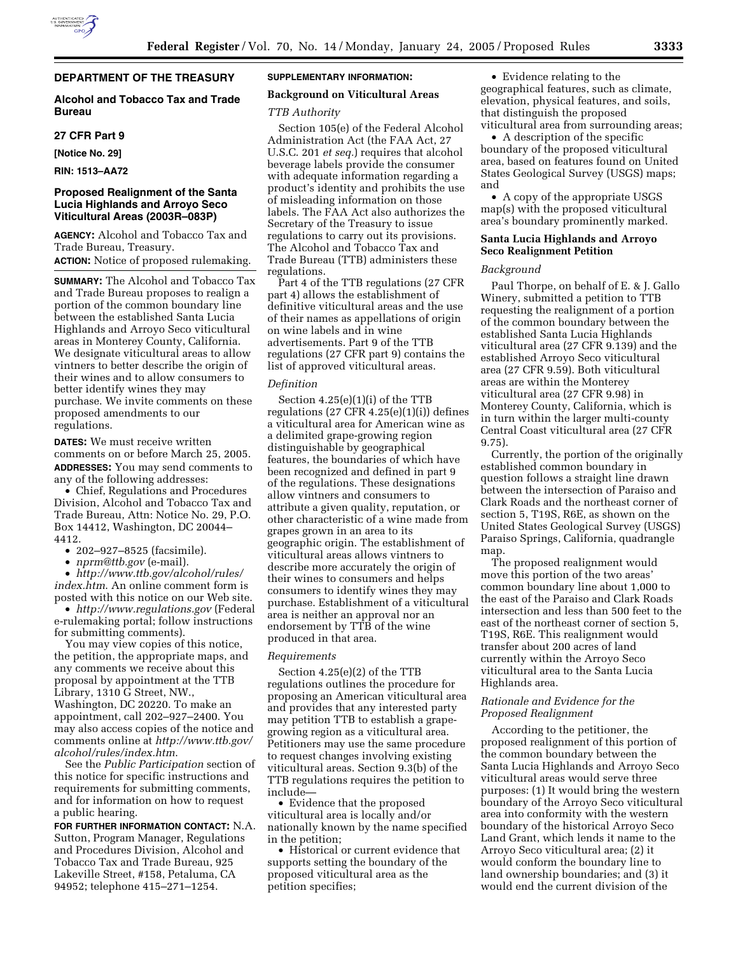# **DEPARTMENT OF THE TREASURY**

## **Alcohol and Tobacco Tax and Trade Bureau**

#### **27 CFR Part 9**

**[Notice No. 29]** 

**RIN: 1513–AA72** 

## **Proposed Realignment of the Santa Lucia Highlands and Arroyo Seco Viticultural Areas (2003R–083P)**

**AGENCY:** Alcohol and Tobacco Tax and Trade Bureau, Treasury.

**ACTION:** Notice of proposed rulemaking.

**SUMMARY:** The Alcohol and Tobacco Tax and Trade Bureau proposes to realign a portion of the common boundary line between the established Santa Lucia Highlands and Arroyo Seco viticultural areas in Monterey County, California. We designate viticultural areas to allow vintners to better describe the origin of their wines and to allow consumers to better identify wines they may purchase. We invite comments on these proposed amendments to our regulations.

**DATES:** We must receive written comments on or before March 25, 2005. **ADDRESSES:** You may send comments to any of the following addresses:

• Chief, Regulations and Procedures Division, Alcohol and Tobacco Tax and Trade Bureau, Attn: Notice No. 29, P.O. Box 14412, Washington, DC 20044– 4412.

• 202–927–8525 (facsimile).

• *nprm@ttb.gov* (e-mail).

• *http://www.ttb.gov/alcohol/rules/ index.htm*. An online comment form is posted with this notice on our Web site.

• *http://www.regulations.gov* (Federal e-rulemaking portal; follow instructions for submitting comments).

You may view copies of this notice, the petition, the appropriate maps, and any comments we receive about this proposal by appointment at the TTB Library, 1310 G Street, NW., Washington, DC 20220. To make an appointment, call 202–927–2400. You may also access copies of the notice and comments online at *http://www.ttb.gov/ alcohol/rules/index.htm*.

See the *Public Participation* section of this notice for specific instructions and requirements for submitting comments, and for information on how to request a public hearing.

**FOR FURTHER INFORMATION CONTACT:** N.A. Sutton, Program Manager, Regulations and Procedures Division, Alcohol and Tobacco Tax and Trade Bureau, 925 Lakeville Street, #158, Petaluma, CA 94952; telephone 415–271–1254.

### **SUPPLEMENTARY INFORMATION:**

## **Background on Viticultural Areas**

#### *TTB Authority*

Section 105(e) of the Federal Alcohol Administration Act (the FAA Act, 27 U.S.C. 201 *et seq.*) requires that alcohol beverage labels provide the consumer with adequate information regarding a product's identity and prohibits the use of misleading information on those labels. The FAA Act also authorizes the Secretary of the Treasury to issue regulations to carry out its provisions. The Alcohol and Tobacco Tax and Trade Bureau (TTB) administers these regulations.

Part 4 of the TTB regulations (27 CFR part 4) allows the establishment of definitive viticultural areas and the use of their names as appellations of origin on wine labels and in wine advertisements. Part 9 of the TTB regulations (27 CFR part 9) contains the list of approved viticultural areas.

## *Definition*

Section 4.25(e)(1)(i) of the TTB regulations (27 CFR 4.25(e)(1)(i)) defines a viticultural area for American wine as a delimited grape-growing region distinguishable by geographical features, the boundaries of which have been recognized and defined in part 9 of the regulations. These designations allow vintners and consumers to attribute a given quality, reputation, or other characteristic of a wine made from grapes grown in an area to its geographic origin. The establishment of viticultural areas allows vintners to describe more accurately the origin of their wines to consumers and helps consumers to identify wines they may purchase. Establishment of a viticultural area is neither an approval nor an endorsement by TTB of the wine produced in that area.

#### *Requirements*

Section 4.25(e)(2) of the TTB regulations outlines the procedure for proposing an American viticultural area and provides that any interested party may petition TTB to establish a grapegrowing region as a viticultural area. Petitioners may use the same procedure to request changes involving existing viticultural areas. Section 9.3(b) of the TTB regulations requires the petition to include—

• Evidence that the proposed viticultural area is locally and/or nationally known by the name specified in the petition;

• Historical or current evidence that supports setting the boundary of the proposed viticultural area as the petition specifies;

• Evidence relating to the geographical features, such as climate, elevation, physical features, and soils, that distinguish the proposed viticultural area from surrounding areas;

• A description of the specific boundary of the proposed viticultural area, based on features found on United States Geological Survey (USGS) maps; and

• A copy of the appropriate USGS map(s) with the proposed viticultural area's boundary prominently marked.

## **Santa Lucia Highlands and Arroyo Seco Realignment Petition**

## *Background*

Paul Thorpe, on behalf of E. & J. Gallo Winery, submitted a petition to TTB requesting the realignment of a portion of the common boundary between the established Santa Lucia Highlands viticultural area (27 CFR 9.139) and the established Arroyo Seco viticultural area (27 CFR 9.59). Both viticultural areas are within the Monterey viticultural area (27 CFR 9.98) in Monterey County, California, which is in turn within the larger multi-county Central Coast viticultural area (27 CFR 9.75).

Currently, the portion of the originally established common boundary in question follows a straight line drawn between the intersection of Paraiso and Clark Roads and the northeast corner of section 5, T19S, R6E, as shown on the United States Geological Survey (USGS) Paraiso Springs, California, quadrangle map.

The proposed realignment would move this portion of the two areas' common boundary line about 1,000 to the east of the Paraiso and Clark Roads intersection and less than 500 feet to the east of the northeast corner of section 5, T19S, R6E. This realignment would transfer about 200 acres of land currently within the Arroyo Seco viticultural area to the Santa Lucia Highlands area.

## *Rationale and Evidence for the Proposed Realignment*

According to the petitioner, the proposed realignment of this portion of the common boundary between the Santa Lucia Highlands and Arroyo Seco viticultural areas would serve three purposes: (1) It would bring the western boundary of the Arroyo Seco viticultural area into conformity with the western boundary of the historical Arroyo Seco Land Grant, which lends it name to the Arroyo Seco viticultural area; (2) it would conform the boundary line to land ownership boundaries; and (3) it would end the current division of the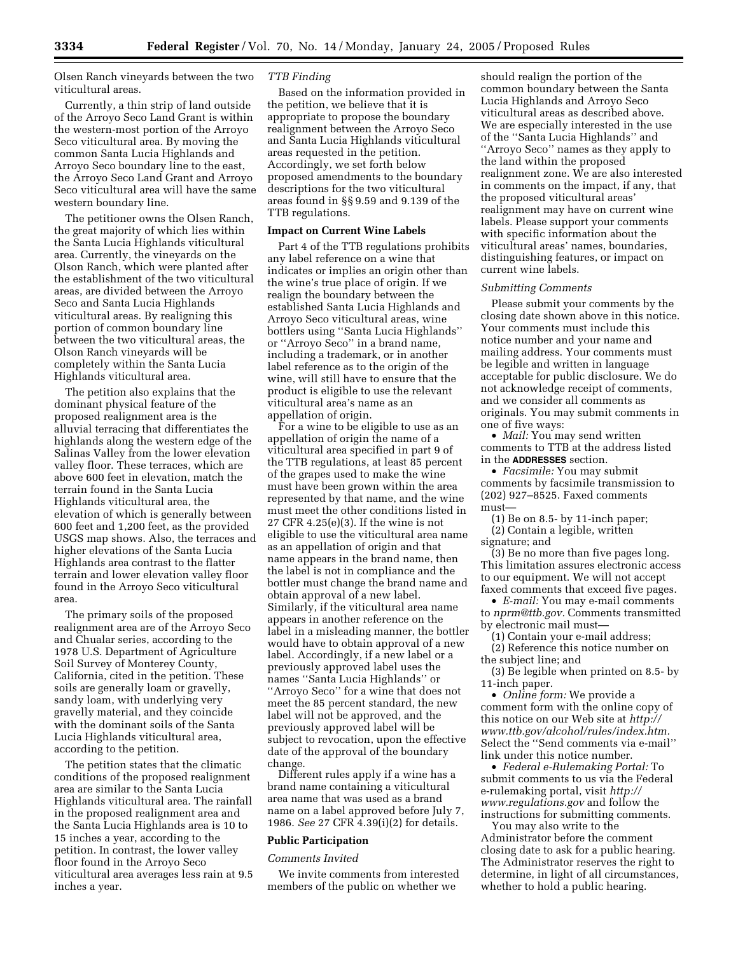Olsen Ranch vineyards between the two viticultural areas.

Currently, a thin strip of land outside of the Arroyo Seco Land Grant is within the western-most portion of the Arroyo Seco viticultural area. By moving the common Santa Lucia Highlands and Arroyo Seco boundary line to the east, the Arroyo Seco Land Grant and Arroyo Seco viticultural area will have the same western boundary line.

The petitioner owns the Olsen Ranch, the great majority of which lies within the Santa Lucia Highlands viticultural area. Currently, the vineyards on the Olson Ranch, which were planted after the establishment of the two viticultural areas, are divided between the Arroyo Seco and Santa Lucia Highlands viticultural areas. By realigning this portion of common boundary line between the two viticultural areas, the Olson Ranch vineyards will be completely within the Santa Lucia Highlands viticultural area.

The petition also explains that the dominant physical feature of the proposed realignment area is the alluvial terracing that differentiates the highlands along the western edge of the Salinas Valley from the lower elevation valley floor. These terraces, which are above 600 feet in elevation, match the terrain found in the Santa Lucia Highlands viticultural area, the elevation of which is generally between 600 feet and 1,200 feet, as the provided USGS map shows. Also, the terraces and higher elevations of the Santa Lucia Highlands area contrast to the flatter terrain and lower elevation valley floor found in the Arroyo Seco viticultural area.

The primary soils of the proposed realignment area are of the Arroyo Seco and Chualar series, according to the 1978 U.S. Department of Agriculture Soil Survey of Monterey County, California, cited in the petition. These soils are generally loam or gravelly, sandy loam, with underlying very gravelly material, and they coincide with the dominant soils of the Santa Lucia Highlands viticultural area, according to the petition.

The petition states that the climatic conditions of the proposed realignment area are similar to the Santa Lucia Highlands viticultural area. The rainfall in the proposed realignment area and the Santa Lucia Highlands area is 10 to 15 inches a year, according to the petition. In contrast, the lower valley floor found in the Arroyo Seco viticultural area averages less rain at 9.5 inches a year.

## *TTB Finding*

Based on the information provided in the petition, we believe that it is appropriate to propose the boundary realignment between the Arroyo Seco and Santa Lucia Highlands viticultural areas requested in the petition. Accordingly, we set forth below proposed amendments to the boundary descriptions for the two viticultural areas found in §§ 9.59 and 9.139 of the TTB regulations.

## **Impact on Current Wine Labels**

Part 4 of the TTB regulations prohibits any label reference on a wine that indicates or implies an origin other than the wine's true place of origin. If we realign the boundary between the established Santa Lucia Highlands and Arroyo Seco viticultural areas, wine bottlers using ''Santa Lucia Highlands'' or ''Arroyo Seco'' in a brand name, including a trademark, or in another label reference as to the origin of the wine, will still have to ensure that the product is eligible to use the relevant viticultural area's name as an appellation of origin.

For a wine to be eligible to use as an appellation of origin the name of a viticultural area specified in part 9 of the TTB regulations, at least 85 percent of the grapes used to make the wine must have been grown within the area represented by that name, and the wine must meet the other conditions listed in 27 CFR 4.25(e)(3). If the wine is not eligible to use the viticultural area name as an appellation of origin and that name appears in the brand name, then the label is not in compliance and the bottler must change the brand name and obtain approval of a new label. Similarly, if the viticultural area name appears in another reference on the label in a misleading manner, the bottler would have to obtain approval of a new label. Accordingly, if a new label or a previously approved label uses the names ''Santa Lucia Highlands'' or ''Arroyo Seco'' for a wine that does not meet the 85 percent standard, the new label will not be approved, and the previously approved label will be subject to revocation, upon the effective date of the approval of the boundary change.

Different rules apply if a wine has a brand name containing a viticultural area name that was used as a brand name on a label approved before July 7, 1986. *See* 27 CFR 4.39(i)(2) for details.

#### **Public Participation**

### *Comments Invited*

We invite comments from interested members of the public on whether we

should realign the portion of the common boundary between the Santa Lucia Highlands and Arroyo Seco viticultural areas as described above. We are especially interested in the use of the ''Santa Lucia Highlands'' and ''Arroyo Seco'' names as they apply to the land within the proposed realignment zone. We are also interested in comments on the impact, if any, that the proposed viticultural areas' realignment may have on current wine labels. Please support your comments with specific information about the viticultural areas' names, boundaries, distinguishing features, or impact on current wine labels.

#### *Submitting Comments*

Please submit your comments by the closing date shown above in this notice. Your comments must include this notice number and your name and mailing address. Your comments must be legible and written in language acceptable for public disclosure. We do not acknowledge receipt of comments, and we consider all comments as originals. You may submit comments in one of five ways:

• *Mail:* You may send written comments to TTB at the address listed in the **ADDRESSES** section.

• *Facsimile:* You may submit comments by facsimile transmission to (202) 927–8525. Faxed comments must—

(1) Be on 8.5- by 11-inch paper;

(2) Contain a legible, written signature; and

(3) Be no more than five pages long. This limitation assures electronic access to our equipment. We will not accept faxed comments that exceed five pages.

• *E-mail:* You may e-mail comments to *nprm@ttb.gov.* Comments transmitted by electronic mail must—

(1) Contain your e-mail address;

(2) Reference this notice number on the subject line; and

(3) Be legible when printed on 8.5- by 11-inch paper.

• *Online form:* We provide a comment form with the online copy of this notice on our Web site at *http:// www.ttb.gov/alcohol/rules/index.htm.* Select the ''Send comments via e-mail'' link under this notice number.

• *Federal e-Rulemaking Portal:* To submit comments to us via the Federal e-rulemaking portal, visit *http:// www.regulations.gov* and follow the instructions for submitting comments.

You may also write to the Administrator before the comment closing date to ask for a public hearing. The Administrator reserves the right to determine, in light of all circumstances, whether to hold a public hearing.